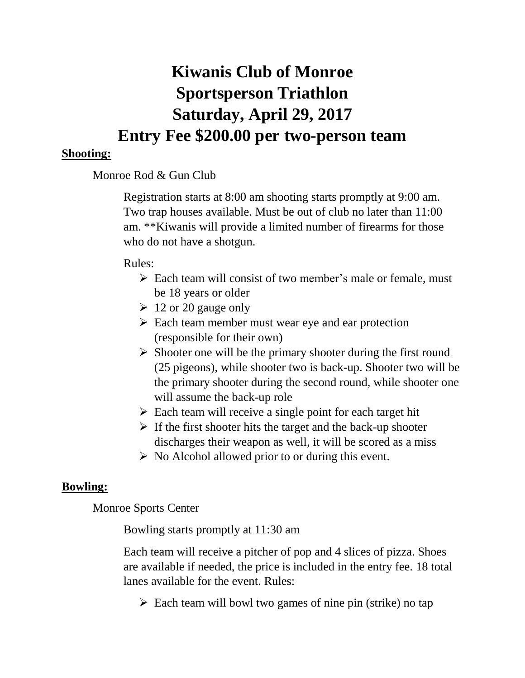# **Kiwanis Club of Monroe Sportsperson Triathlon Saturday, April 29, 2017 Entry Fee \$200.00 per two-person team**

### **Shooting:**

# Monroe Rod & Gun Club

Registration starts at 8:00 am shooting starts promptly at 9:00 am. Two trap houses available. Must be out of club no later than 11:00 am. \*\*Kiwanis will provide a limited number of firearms for those who do not have a shotgun.

## Rules:

- ➢ Each team will consist of two member's male or female, must be 18 years or older
- ➢ 12 or 20 gauge only
- ➢ Each team member must wear eye and ear protection (responsible for their own)
- $\triangleright$  Shooter one will be the primary shooter during the first round (25 pigeons), while shooter two is back-up. Shooter two will be the primary shooter during the second round, while shooter one will assume the back-up role
- $\triangleright$  Each team will receive a single point for each target hit
- $\triangleright$  If the first shooter hits the target and the back-up shooter discharges their weapon as well, it will be scored as a miss
- $\triangleright$  No Alcohol allowed prior to or during this event.

# **Bowling:**

Monroe Sports Center

Bowling starts promptly at 11:30 am

Each team will receive a pitcher of pop and 4 slices of pizza. Shoes are available if needed, the price is included in the entry fee. 18 total lanes available for the event. Rules:

➢ Each team will bowl two games of nine pin (strike) no tap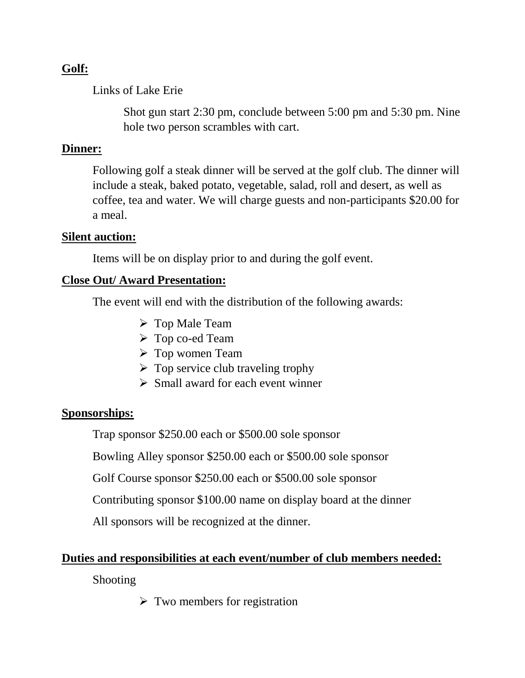## **Golf:**

Links of Lake Erie

Shot gun start 2:30 pm, conclude between 5:00 pm and 5:30 pm. Nine hole two person scrambles with cart.

#### **Dinner:**

Following golf a steak dinner will be served at the golf club. The dinner will include a steak, baked potato, vegetable, salad, roll and desert, as well as coffee, tea and water. We will charge guests and non-participants \$20.00 for a meal.

#### **Silent auction:**

Items will be on display prior to and during the golf event.

#### **Close Out/ Award Presentation:**

The event will end with the distribution of the following awards:

- ➢ Top Male Team
- ➢ Top co-ed Team
- ➢ Top women Team
- $\triangleright$  Top service club traveling trophy
- $\triangleright$  Small award for each event winner

## **Sponsorships:**

Trap sponsor \$250.00 each or \$500.00 sole sponsor

Bowling Alley sponsor \$250.00 each or \$500.00 sole sponsor

Golf Course sponsor \$250.00 each or \$500.00 sole sponsor

Contributing sponsor \$100.00 name on display board at the dinner

All sponsors will be recognized at the dinner.

#### **Duties and responsibilities at each event/number of club members needed:**

Shooting

 $\triangleright$  Two members for registration